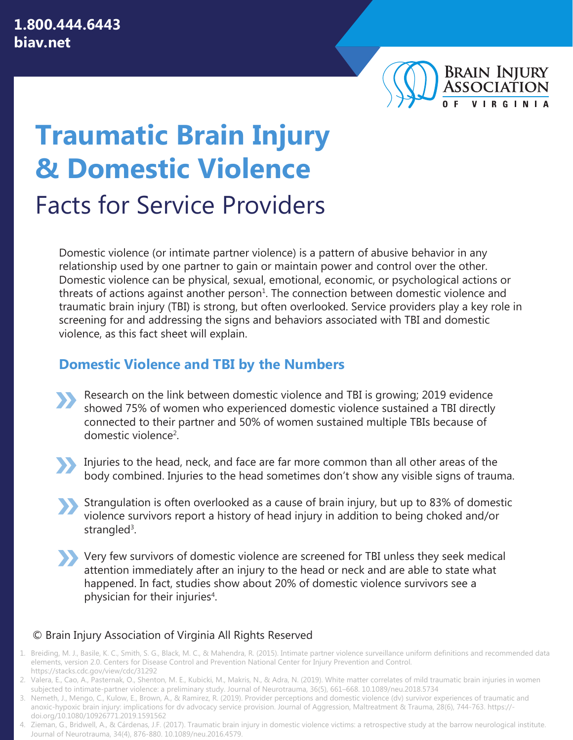

# **Traumatic Brain Injury & Domestic Violence**  Facts for Service Providers

Domestic violence (or intimate partner violence) is a pattern of abusive behavior in any relationship used by one partner to gain or maintain power and control over the other. Domestic violence can be physical, sexual, emotional, economic, or psychological actions or threats of actions against another person<sup>1</sup>. The connection between domestic violence and traumatic brain injury (TBI) is strong, but often overlooked. Service providers play a key role in screening for and addressing the signs and behaviors associated with TBI and domestic violence, as this fact sheet will explain.

### **Domestic Violence and TBI by the Numbers**

- Research on the link between domestic violence and TBI is growing; 2019 evidence showed 75% of women who experienced domestic violence sustained a TBI directly connected to their partner and 50% of women sustained multiple TBIs because of domestic violence<sup>2</sup>.
- E Injuries to the head, neck, and face are far more common than all other areas of the body combined. Injuries to the head sometimes don't show any visible signs of trauma.
- E Strangulation is often overlooked as a cause of brain injury, but up to 83% of domestic violence survivors report a history of head injury in addition to being choked and/or strangled<sup>3</sup>.
- E Very few survivors of domestic violence are screened for TBI unless they seek medical attention immediately after an injury to the head or neck and are able to state what happened. In fact, studies show about 20% of domestic violence survivors see a physician for their injuries<sup>4</sup>.

### © Brain Injury Association of Virginia All Rights Reserved

- 1. Breiding, M. J., Basile, K. C., Smith, S. G., Black, M. C., & Mahendra, R. (2015). Intimate partner violence surveillance uniform definitions and recommended data elements, version 2.0. Centers for Disease Control and Prevention National Center for Injury Prevention and Control. <https://stacks.cdc.gov/view/cdc/31292>
- 2. Valera, E., Cao, A., Pasternak, O., Shenton, M. E., Kubicki, M., Makris, N., & Adra, N. (2019). White matter correlates of mild traumatic brain injuries in women subjected to intimate-partner violence: a preliminary study. Journal of Neurotrauma, 36(5), 661–668. 10.1089/neu.2018.5734
- 3. Nemeth, J., Mengo, C., Kulow, E., Brown, A., & Ramirez, R. (2019). Provider perceptions and domestic violence (dv) survivor experiences of traumatic and anoxic-hypoxic brain injury: implications for dv advocacy service provision. Journal of Aggression, Maltreatment & Trauma, 28(6), 744-763. https:// [doi.org/10.1080/10926771.2019.1591562](https://doi.org/10.1080/10926771.2019.1591562)
- 4. Zieman, G., Bridwell, A., & Cárdenas, J.F. (2017). Traumatic brain injury in domestic violence victims: a retrospective study at the barrow neurological institute. Journal of Neurotrauma, 34(4), 876-880. 10.1089/neu.2016.4579.